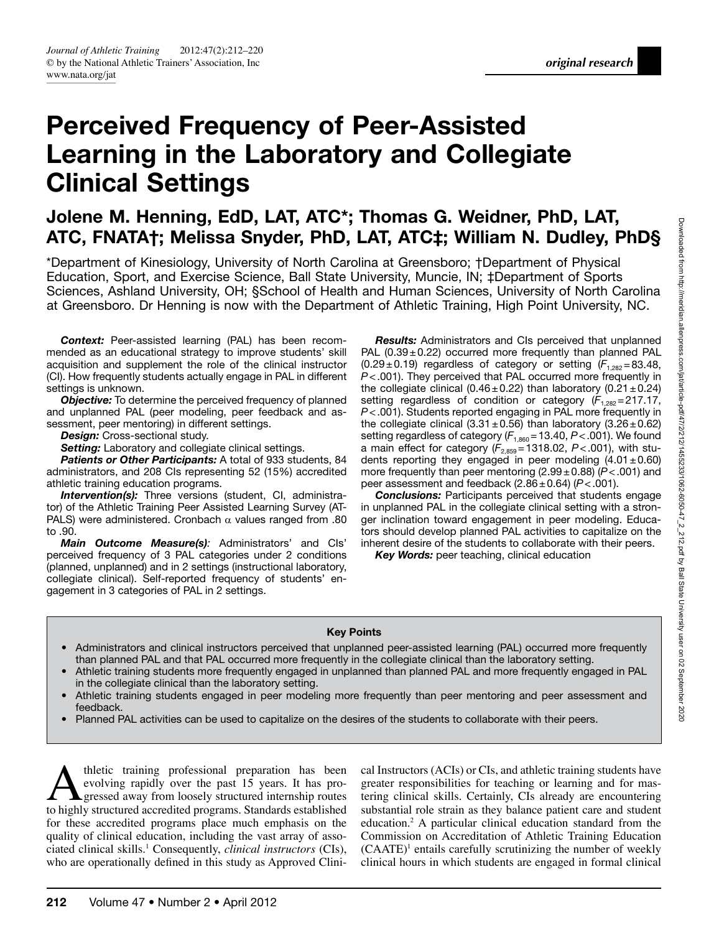# **Perceived Frequency of Peer-Assisted Learning in the Laboratory and Collegiate Clinical Settings**

# **Jolene M. Henning, EdD, LAT, ATC\*; Thomas G. Weidner, PhD, LAT, ATC, FNATA†; Melissa Snyder, PhD, LAT, ATC‡; William N. Dudley, PhD§**

\*Department of Kinesiology, University of North Carolina at Greensboro; †Department of Physical Education, Sport, and Exercise Science, Ball State University, Muncie, IN; ‡Department of Sports Sciences, Ashland University, OH; §School of Health and Human Sciences, University of North Carolina at Greensboro. Dr Henning is now with the Department of Athletic Training, High Point University, NC.

*Context:* Peer-assisted learning (PAL) has been recommended as an educational strategy to improve students' skill acquisition and supplement the role of the clinical instructor (CI). How frequently students actually engage in PAL in different settings is unknown.

**Objective:** To determine the perceived frequency of planned and unplanned PAL (peer modeling, peer feedback and assessment, peer mentoring) in different settings.

*Design:* Cross-sectional study.

**Setting:** Laboratory and collegiate clinical settings.

*Patients or Other Participants:* A total of 933 students, 84 administrators, and 208 CIs representing 52 (15%) accredited athletic training education programs.

**Intervention(s):** Three versions (student, CI, administrator) of the Athletic Training Peer Assisted Learning Survey (AT-PALS) were administered. Cronbach  $\alpha$  values ranged from .80 to .90.

*Main Outcome Measure(s):* Administrators' and CIs' perceived frequency of 3 PAL categories under 2 conditions (planned, unplanned) and in 2 settings (instructional laboratory, collegiate clinical). Self-reported frequency of students' engagement in 3 categories of PAL in 2 settings.

*Results:* Administrators and CIs perceived that unplanned PAL  $(0.39 \pm 0.22)$  occurred more frequently than planned PAL  $(0.29 \pm 0.19)$  regardless of category or setting  $(F<sub>1,282</sub> = 83.48)$ , *P*<.001). They perceived that PAL occurred more frequently in the collegiate clinical (0.46 $\pm$ 0.22) than laboratory (0.21 $\pm$ 0.24) setting regardless of condition or category  $(F_{1,282}=217.17,$ *P*<.001). Students reported engaging in PAL more frequently in the collegiate clinical  $(3.31 \pm 0.56)$  than laboratory  $(3.26 \pm 0.62)$ setting regardless of category ( $F_{1,860}\!=\!13.40$ ,  $P\!<\!.001$ ). We found a main effect for category (*F*2,859=1318.02, *P*<.001), with students reporting they engaged in peer modeling  $(4.01 \pm 0.60)$ more frequently than peer mentoring (2.99±0.88) (*P*<.001) and peer assessment and feedback (2.86±0.64) (*P*<.001).

*Conclusions:* Participants perceived that students engage in unplanned PAL in the collegiate clinical setting with a stronger inclination toward engagement in peer modeling. Educators should develop planned PAL activities to capitalize on the inherent desire of the students to collaborate with their peers.

*Key Words:* peer teaching, clinical education

## **Key Points**

- • Administrators and clinical instructors perceived that unplanned peer-assisted learning (PAL) occurred more frequently than planned PAL and that PAL occurred more frequently in the collegiate clinical than the laboratory setting.
- Athletic training students more frequently engaged in unplanned than planned PAL and more frequently engaged in PAL in the collegiate clinical than the laboratory setting.
- Athletic training students engaged in peer modeling more frequently than peer mentoring and peer assessment and feedback.
- Planned PAL activities can be used to capitalize on the desires of the students to collaborate with their peers.

**A**thletic training professional preparation has been evolving rapidly over the past 15 years. It has progressed away from loosely structured internship routes to highly structured accredited programs. Standards establishe evolving rapidly over the past 15 years. It has progressed away from loosely structured internship routes for these accredited programs place much emphasis on the quality of clinical education, including the vast array of associated clinical skills.1 Consequently, *clinical instructors* (CIs), who are operationally defined in this study as Approved Clinical Instructors (ACIs) or CIs, and athletic training students have greater responsibilities for teaching or learning and for mastering clinical skills. Certainly, CIs already are encountering substantial role strain as they balance patient care and student education.2 A particular clinical education standard from the Commission on Accreditation of Athletic Training Education  $(CAATE)^1$  entails carefully scrutinizing the number of weekly clinical hours in which students are engaged in formal clinical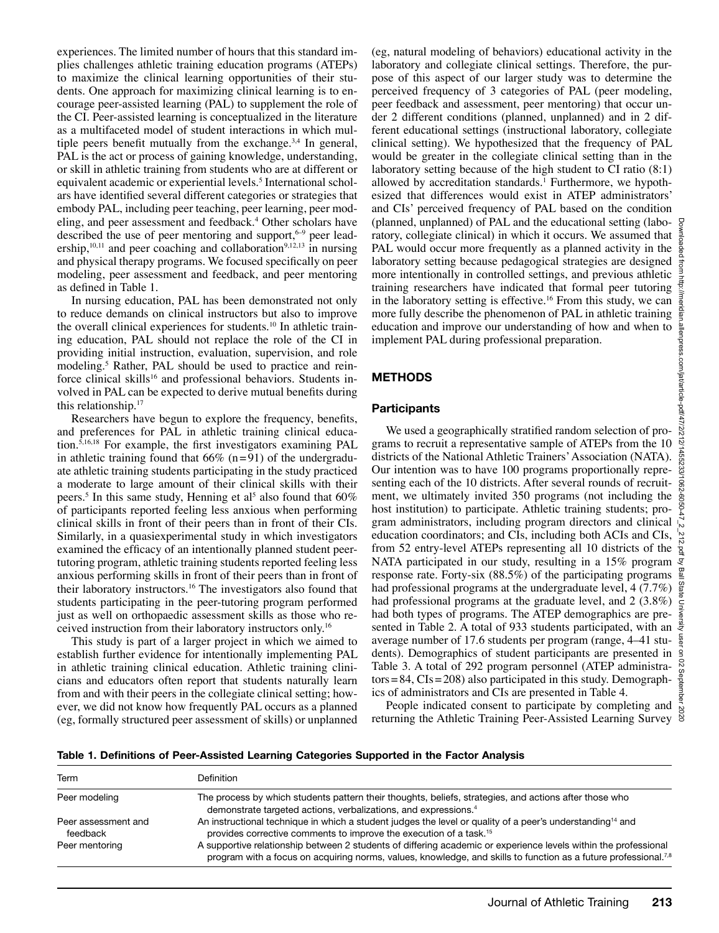experiences. The limited number of hours that this standard implies challenges athletic training education programs (ATEPs) to maximize the clinical learning opportunities of their students. One approach for maximizing clinical learning is to encourage peer-assisted learning (PAL) to supplement the role of the CI. Peer-assisted learning is conceptualized in the literature as a multifaceted model of student interactions in which multiple peers benefit mutually from the exchange.<sup>3,4</sup> In general, PAL is the act or process of gaining knowledge, understanding, or skill in athletic training from students who are at different or equivalent academic or experiential levels.<sup>5</sup> International scholars have identified several different categories or strategies that embody PAL, including peer teaching, peer learning, peer modeling, and peer assessment and feedback.4 Other scholars have described the use of peer mentoring and support, $6-9$  peer leadership,<sup>10,11</sup> and peer coaching and collaboration<sup>9,12,13</sup> in nursing and physical therapy programs. We focused specifically on peer modeling, peer assessment and feedback, and peer mentoring as defined in Table 1.

In nursing education, PAL has been demonstrated not only to reduce demands on clinical instructors but also to improve the overall clinical experiences for students.10 In athletic training education, PAL should not replace the role of the CI in providing initial instruction, evaluation, supervision, and role modeling.5 Rather, PAL should be used to practice and reinforce clinical skills<sup>16</sup> and professional behaviors. Students involved in PAL can be expected to derive mutual benefits during this relationship.17

Researchers have begun to explore the frequency, benefits, and preferences for PAL in athletic training clinical education.5,16,18 For example, the first investigators examining PAL in athletic training found that  $66\%$  (n=91) of the undergraduate athletic training students participating in the study practiced a moderate to large amount of their clinical skills with their peers.<sup>5</sup> In this same study, Henning et al<sup>5</sup> also found that  $60\%$ of participants reported feeling less anxious when performing clinical skills in front of their peers than in front of their CIs. Similarly, in a quasiexperimental study in which investigators examined the efficacy of an intentionally planned student peertutoring program, athletic training students reported feeling less anxious performing skills in front of their peers than in front of their laboratory instructors.16 The investigators also found that students participating in the peer-tutoring program performed just as well on orthopaedic assessment skills as those who received instruction from their laboratory instructors only.16

This study is part of a larger project in which we aimed to establish further evidence for intentionally implementing PAL in athletic training clinical education. Athletic training clinicians and educators often report that students naturally learn from and with their peers in the collegiate clinical setting; however, we did not know how frequently PAL occurs as a planned (eg, formally structured peer assessment of skills) or unplanned

(eg, natural modeling of behaviors) educational activity in the laboratory and collegiate clinical settings. Therefore, the purpose of this aspect of our larger study was to determine the perceived frequency of 3 categories of PAL (peer modeling, peer feedback and assessment, peer mentoring) that occur under 2 different conditions (planned, unplanned) and in 2 different educational settings (instructional laboratory, collegiate clinical setting). We hypothesized that the frequency of PAL would be greater in the collegiate clinical setting than in the laboratory setting because of the high student to CI ratio (8:1) allowed by accreditation standards.<sup>1</sup> Furthermore, we hypothesized that differences would exist in ATEP administrators' and CIs' perceived frequency of PAL based on the condition (planned, unplanned) of PAL and the educational setting (laboratory, collegiate clinical) in which it occurs. We assumed that PAL would occur more frequently as a planned activity in the laboratory setting because pedagogical strategies are designed more intentionally in controlled settings, and previous athletic training researchers have indicated that formal peer tutoring in the laboratory setting is effective.<sup>16</sup> From this study, we can more fully describe the phenomenon of PAL in athletic training education and improve our understanding of how and when to implement PAL during professional preparation.

# **METHODS**

## **Participants**

We used a geographically stratified random selection of programs to recruit a representative sample of ATEPs from the 10 districts of the National Athletic Trainers' Association (NATA). Our intention was to have 100 programs proportionally representing each of the 10 districts. After several rounds of recruitment, we ultimately invited 350 programs (not including the host institution) to participate. Athletic training students; program administrators, including program directors and clinical education coordinators; and CIs, including both ACIs and CIs, from 52 entry-level ATEPs representing all 10 districts of the NATA participated in our study, resulting in a 15% program response rate. Forty-six (88.5%) of the participating programs  $\frac{\mathbb{E}}{2}$ had professional programs at the undergraduate level, 4 (7.7%)  $\frac{\omega}{\omega}$ had professional programs at the graduate level, and 2 (3.8%) had both types of programs. The ATEP demographics are presented in Table 2. A total of 933 students participated, with an average number of 17.6 students per program (range, 4–41 students). Demographics of student participants are presented in Table 3. A total of 292 program personnel (ATEP administra $tors = 84$ ,  $CIs = 208$ ) also participated in this study. Demographics of administrators and CIs are presented in Table 4.

People indicated consent to participate by completing and returning the Athletic Training Peer-Assisted Learning Survey

| Term                            | <b>Definition</b>                                                                                                                                                                                                                              |
|---------------------------------|------------------------------------------------------------------------------------------------------------------------------------------------------------------------------------------------------------------------------------------------|
| Peer modeling                   | The process by which students pattern their thoughts, beliefs, strategies, and actions after those who<br>demonstrate targeted actions, verbalizations, and expressions. <sup>4</sup>                                                          |
| Peer assessment and<br>feedback | An instructional technique in which a student judges the level or quality of a peer's understanding <sup>14</sup> and<br>provides corrective comments to improve the execution of a task. <sup>15</sup>                                        |
| Peer mentoring                  | A supportive relationship between 2 students of differing academic or experience levels within the professional<br>program with a focus on acquiring norms, values, knowledge, and skills to function as a future professional. <sup>7,8</sup> |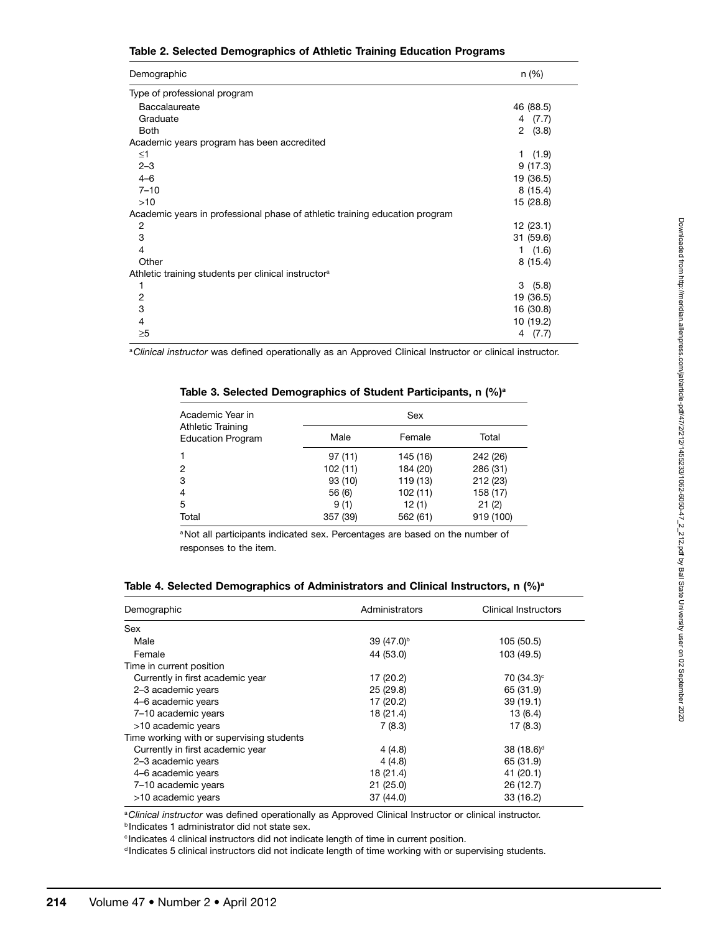| Table 2. Selected Demographics of Athletic Training Education Programs |  |
|------------------------------------------------------------------------|--|
|------------------------------------------------------------------------|--|

| Demographic                                                                 | n (%)                 |
|-----------------------------------------------------------------------------|-----------------------|
| Type of professional program                                                |                       |
| <b>Baccalaureate</b>                                                        | 46 (88.5)             |
| Graduate                                                                    | 4(7.7)                |
| <b>Both</b>                                                                 | $\mathbf{2}$<br>(3.8) |
| Academic years program has been accredited                                  |                       |
| ≤1                                                                          | (1.9)<br>1.           |
| $2 - 3$                                                                     | 9(17.3)               |
| $4 - 6$                                                                     | 19 (36.5)             |
| $7 - 10$                                                                    | 8(15.4)               |
| $>10$                                                                       | 15 (28.8)             |
| Academic years in professional phase of athletic training education program |                       |
| $\overline{c}$                                                              | 12 (23.1)             |
| 3                                                                           | 31 (59.6)             |
| 4                                                                           | 1(1.6)                |
| Other                                                                       | 8(15.4)               |
| Athletic training students per clinical instructor <sup>a</sup>             |                       |
| 1                                                                           | 3(5.8)                |
| 2                                                                           | 19 (36.5)             |
| 3                                                                           | 16 (30.8)             |
| 4                                                                           | 10 (19.2)             |
| $\geq 5$                                                                    | 4(7.7)                |

<sup>a</sup>*Clinical instructor* was defined operationally as an Approved Clinical Instructor or clinical instructor.

| Table 3. Selected Demographics of Student Participants, n (%) <sup>a</sup> |  |  |  |
|----------------------------------------------------------------------------|--|--|--|
|----------------------------------------------------------------------------|--|--|--|

| Academic Year in                                     |          | Sex      |           |
|------------------------------------------------------|----------|----------|-----------|
| <b>Athletic Training</b><br><b>Education Program</b> | Male     | Female   | Total     |
|                                                      | 97(11)   | 145 (16) | 242 (26)  |
| 2                                                    | 102(11)  | 184 (20) | 286 (31)  |
| 3                                                    | 93(10)   | 119 (13) | 212 (23)  |
| 4                                                    | 56 (6)   | 102(11)  | 158 (17)  |
| 5                                                    | 9(1)     | 12(1)    | 21(2)     |
| Total                                                | 357 (39) | 562 (61) | 919 (100) |

aNot all participants indicated sex. Percentages are based on the number of responses to the item.

| Table 4. Selected Demographics of Administrators and Clinical Instructors, n (%) <sup>a</sup> |  |  |  |  |  |  |  |  |  |  |
|-----------------------------------------------------------------------------------------------|--|--|--|--|--|--|--|--|--|--|
|-----------------------------------------------------------------------------------------------|--|--|--|--|--|--|--|--|--|--|

| Demographic                               | Administrators         | <b>Clinical Instructors</b> |
|-------------------------------------------|------------------------|-----------------------------|
| Sex                                       |                        |                             |
| Male                                      | 39 (47.0) <sup>b</sup> | 105 (50.5)                  |
| Female                                    | 44 (53.0)              | 103 (49.5)                  |
| Time in current position                  |                        |                             |
| Currently in first academic year          | 17 (20.2)              | 70 (34.3) <sup>c</sup>      |
| 2-3 academic years                        | 25(29.8)               | 65 (31.9)                   |
| 4-6 academic years                        | 17 (20.2)              | 39 (19.1)                   |
| 7-10 academic years                       | 18 (21.4)              | 13(6.4)                     |
| >10 academic years                        | 7(8.3)                 | 17(8.3)                     |
| Time working with or supervising students |                        |                             |
| Currently in first academic year          | 4(4.8)                 | $38(18.6)$ <sup>d</sup>     |
| 2-3 academic years                        | 4(4.8)                 | 65 (31.9)                   |
| 4-6 academic years                        | 18 (21.4)              | 41 (20.1)                   |
| 7-10 academic years                       | 21(25.0)               | 26 (12.7)                   |
| >10 academic years                        | 37 (44.0)              | 33 (16.2)                   |

<sup>a</sup>*Clinical instructor* was defined operationally as Approved Clinical Instructor or clinical instructor.

**b** Indicates 1 administrator did not state sex.

c Indicates 4 clinical instructors did not indicate length of time in current position.

d Indicates 5 clinical instructors did not indicate length of time working with or supervising students.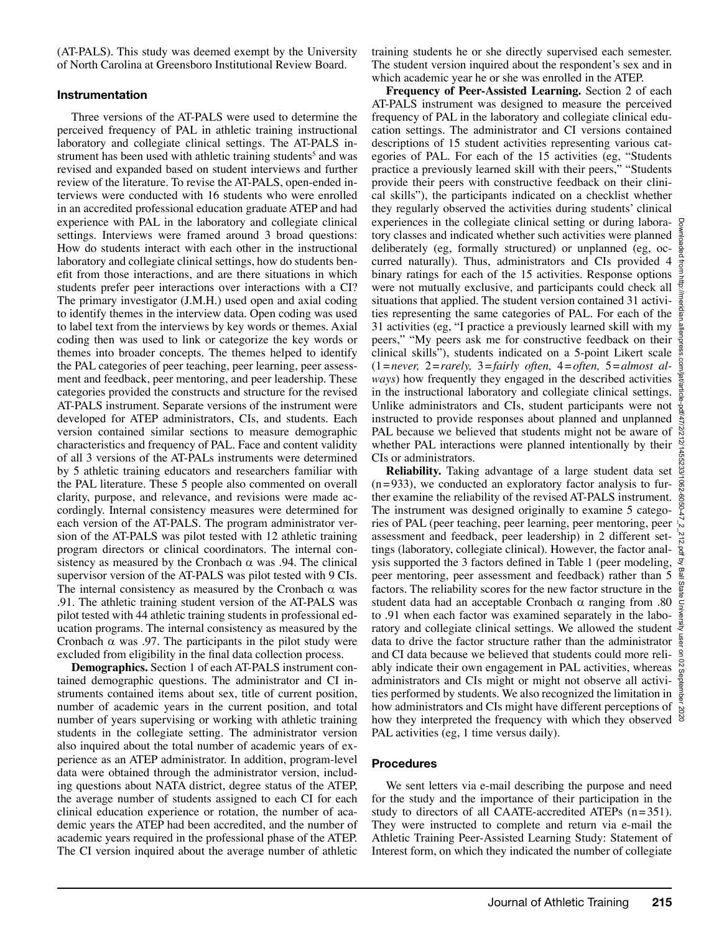(AT-PALS). This study was deemed exempt by the University of North Carolina at Greensboro Institutional Review Board.

### **Instrumentation**

Three versions of the AT-PALS were used to determine the perceived frequency of PAL in athletic training instructional laboratory and collegiate clinical settings. The AT-PALS instrument has been used with athletic training students<sup>5</sup> and was revised and expanded based on student interviews and further review of the literature. To revise the AT-PALS, open-ended interviews were conducted with 16 students who were enrolled in an accredited professional education graduate ATEP and had experience with PAL in the laboratory and collegiate clinical settings. Interviews were framed around 3 broad questions: How do students interact with each other in the instructional laboratory and collegiate clinical settings, how do students benefit from those interactions, and are there situations in which students prefer peer interactions over interactions with a CI? The primary investigator (J.M.H.) used open and axial coding to identify themes in the interview data. Open coding was used to label text from the interviews by key words or themes. Axial coding then was used to link or categorize the key words or themes into broader concepts. The themes helped to identify the PAL categories of peer teaching, peer learning, peer assessment and feedback, peer mentoring, and peer leadership. These categories provided the constructs and structure for the revised AT-PALS instrument. Separate versions of the instrument were developed for ATEP administrators, CIs, and students. Each version contained similar sections to measure demographic characteristics and frequency of PAL. Face and content validity of all 3 versions of the AT-PALs instruments were determined by 5 athletic training educators and researchers familiar with the PAL literature. These 5 people also commented on overall clarity, purpose, and relevance, and revisions were made accordingly. Internal consistency measures were determined for each version of the AT-PALS. The program administrator version of the AT-PALS was pilot tested with 12 athletic training program directors or clinical coordinators. The internal consistency as measured by the Cronbach  $\alpha$  was .94. The clinical supervisor version of the AT-PALS was pilot tested with 9 CIs. The internal consistency as measured by the Cronbach  $\alpha$  was .91. The athletic training student version of the AT-PALS was pilot tested with 44 athletic training students in professional education programs. The internal consistency as measured by the Cronbach  $\alpha$  was .97. The participants in the pilot study were excluded from eligibility in the final data collection process.

**Demographics.** Section 1 of each AT-PALS instrument contained demographic questions. The administrator and CI instruments contained items about sex, title of current position, number of academic years in the current position, and total number of years supervising or working with athletic training students in the collegiate setting. The administrator version also inquired about the total number of academic years of experience as an ATEP administrator. In addition, program-level data were obtained through the administrator version, including questions about NATA district, degree status of the ATEP, the average number of students assigned to each CI for each clinical education experience or rotation, the number of academic years the ATEP had been accredited, and the number of academic years required in the professional phase of the ATEP. The CI version inquired about the average number of athletic

training students he or she directly supervised each semester. The student version inquired about the respondent's sex and in which academic year he or she was enrolled in the ATEP.

**Frequency of Peer-Assisted Learning.** Section 2 of each AT-PALS instrument was designed to measure the perceived frequency of PAL in the laboratory and collegiate clinical education settings. The administrator and CI versions contained descriptions of 15 student activities representing various categories of PAL. For each of the 15 activities (eg, "Students practice a previously learned skill with their peers," "Students provide their peers with constructive feedback on their clinical skills"), the participants indicated on a checklist whether they regularly observed the activities during students' clinical experiences in the collegiate clinical setting or during laboratory classes and indicated whether such activities were planned deliberately (eg, formally structured) or unplanned (eg, occurred naturally). Thus, administrators and CIs provided 4 binary ratings for each of the 15 activities. Response options were not mutually exclusive, and participants could check all situations that applied. The student version contained 31 activities representing the same categories of PAL. For each of the 31 activities (eg, "I practice a previously learned skill with my peers," "My peers ask me for constructive feedback on their clinical skills"), students indicated on a 5-point Likert scale (1=*never,* 2=*rarely,* 3=*fairly often,* 4=*often,* 5=*almost always*) how frequently they engaged in the described activities in the instructional laboratory and collegiate clinical settings. Unlike administrators and CIs, student participants were not instructed to provide responses about planned and unplanned PAL because we believed that students might not be aware of whether PAL interactions were planned intentionally by their CIs or administrators.

**Reliability.** Taking advantage of a large student data set  $(n=933)$ , we conducted an exploratory factor analysis to further examine the reliability of the revised AT-PALS instrument. The instrument was designed originally to examine 5 categories of PAL (peer teaching, peer learning, peer mentoring, peer assessment and feedback, peer leadership) in 2 different settings (laboratory, collegiate clinical). However, the factor analysis supported the 3 factors defined in Table 1 (peer modeling, peer mentoring, peer assessment and feedback) rather than 5 factors. The reliability scores for the new factor structure in the  $\frac{\omega}{2}$ student data had an acceptable Cronbach  $\alpha$  ranging from .80 to .91 when each factor was examined separately in the laboratory and collegiate clinical settings. We allowed the student data to drive the factor structure rather than the administrator  $\frac{8}{9}$ and CI data because we believed that students could more reliably indicate their own engagement in PAL activities, whereas administrators and CIs might or might not observe all activities performed by students. We also recognized the limitation in  $\frac{3}{8}$ how administrators and CIs might have different perceptions of how they interpreted the frequency with which they observed PAL activities (eg, 1 time versus daily).

# **Procedures**

We sent letters via e-mail describing the purpose and need for the study and the importance of their participation in the study to directors of all CAATE-accredited ATEPs (n=351). They were instructed to complete and return via e-mail the Athletic Training Peer-Assisted Learning Study: Statement of Interest form, on which they indicated the number of collegiate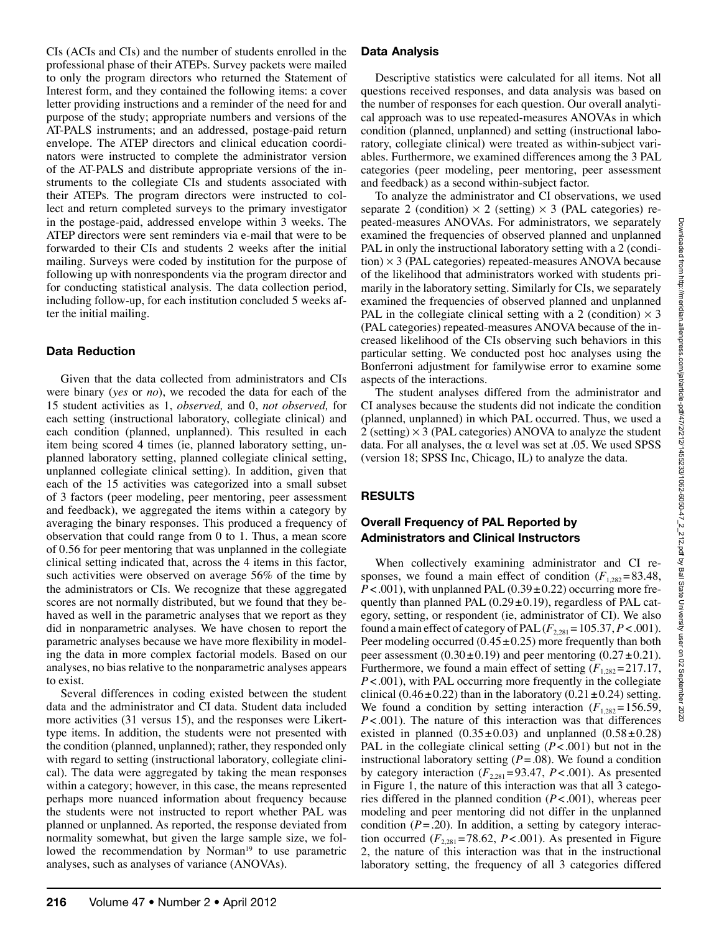CIs (ACIs and CIs) and the number of students enrolled in the professional phase of their ATEPs. Survey packets were mailed to only the program directors who returned the Statement of Interest form, and they contained the following items: a cover letter providing instructions and a reminder of the need for and purpose of the study; appropriate numbers and versions of the AT-PALS instruments; and an addressed, postage-paid return envelope. The ATEP directors and clinical education coordinators were instructed to complete the administrator version of the AT-PALS and distribute appropriate versions of the instruments to the collegiate CIs and students associated with their ATEPs. The program directors were instructed to collect and return completed surveys to the primary investigator in the postage-paid, addressed envelope within 3 weeks. The ATEP directors were sent reminders via e-mail that were to be forwarded to their CIs and students 2 weeks after the initial mailing. Surveys were coded by institution for the purpose of following up with nonrespondents via the program director and for conducting statistical analysis. The data collection period, including follow-up, for each institution concluded 5 weeks after the initial mailing.

# **Data Reduction**

Given that the data collected from administrators and CIs were binary (*yes* or *no*), we recoded the data for each of the 15 student activities as 1, *observed,* and 0, *not observed,* for each setting (instructional laboratory, collegiate clinical) and each condition (planned, unplanned). This resulted in each item being scored 4 times (ie, planned laboratory setting, unplanned laboratory setting, planned collegiate clinical setting, unplanned collegiate clinical setting). In addition, given that each of the 15 activities was categorized into a small subset of 3 factors (peer modeling, peer mentoring, peer assessment and feedback), we aggregated the items within a category by averaging the binary responses. This produced a frequency of observation that could range from 0 to 1. Thus, a mean score of 0.56 for peer mentoring that was unplanned in the collegiate clinical setting indicated that, across the 4 items in this factor, such activities were observed on average 56% of the time by the administrators or CIs. We recognize that these aggregated scores are not normally distributed, but we found that they behaved as well in the parametric analyses that we report as they did in nonparametric analyses. We have chosen to report the parametric analyses because we have more flexibility in modeling the data in more complex factorial models. Based on our analyses, no bias relative to the nonparametric analyses appears to exist.

Several differences in coding existed between the student data and the administrator and CI data. Student data included more activities (31 versus 15), and the responses were Likerttype items. In addition, the students were not presented with the condition (planned, unplanned); rather, they responded only with regard to setting (instructional laboratory, collegiate clinical). The data were aggregated by taking the mean responses within a category; however, in this case, the means represented perhaps more nuanced information about frequency because the students were not instructed to report whether PAL was planned or unplanned. As reported, the response deviated from normality somewhat, but given the large sample size, we followed the recommendation by Norman<sup>19</sup> to use parametric analyses, such as analyses of variance (ANOVAs).

# **Data Analysis**

Descriptive statistics were calculated for all items. Not all questions received responses, and data analysis was based on the number of responses for each question. Our overall analytical approach was to use repeated-measures ANOVAs in which condition (planned, unplanned) and setting (instructional laboratory, collegiate clinical) were treated as within-subject variables. Furthermore, we examined differences among the 3 PAL categories (peer modeling, peer mentoring, peer assessment and feedback) as a second within-subject factor.

To analyze the administrator and CI observations, we used separate 2 (condition)  $\times$  2 (setting)  $\times$  3 (PAL categories) repeated-measures ANOVAs. For administrators, we separately examined the frequencies of observed planned and unplanned PAL in only the instructional laboratory setting with a 2 (condi- $\text{tion}$ )  $\times$  3 (PAL categories) repeated-measures ANOVA because of the likelihood that administrators worked with students primarily in the laboratory setting. Similarly for CIs, we separately examined the frequencies of observed planned and unplanned PAL in the collegiate clinical setting with a 2 (condition)  $\times$  3 (PAL categories) repeated-measures ANOVA because of the increased likelihood of the CIs observing such behaviors in this particular setting. We conducted post hoc analyses using the Bonferroni adjustment for familywise error to examine some aspects of the interactions.

The student analyses differed from the administrator and CI analyses because the students did not indicate the condition (planned, unplanned) in which PAL occurred. Thus, we used a 2 (setting)  $\times$  3 (PAL categories) ANOVA to analyze the student data. For all analyses, the  $\alpha$  level was set at .05. We used SPSS (version 18; SPSS Inc, Chicago, IL) to analyze the data.

# **RESULTS**

# **Overall Frequency of PAL Reported by Administrators and Clinical Instructors**

When collectively examining administrator and CI responses, we found a main effect of condition  $(F_{1,282}=83.48)$ ,  $P < .001$ ), with unplanned PAL (0.39 $\pm$ 0.22) occurring more frequently than planned PAL  $(0.29 \pm 0.19)$ , regardless of PAL category, setting, or respondent (ie, administrator of CI). We also found a main effect of category of PAL  $(F_{2,281} = 105.37, P < .001)$ . Peer modeling occurred  $(0.45 \pm 0.25)$  more frequently than both peer assessment  $(0.30 \pm 0.19)$  and peer mentoring  $(0.27 \pm 0.21)$ . Furthermore, we found a main effect of setting  $(F_{1,282} = 217.17)$ , *P*<.001), with PAL occurring more frequently in the collegiate clinical (0.46 $\pm$ 0.22) than in the laboratory (0.21 $\pm$ 0.24) setting. We found a condition by setting interaction  $(F_{1,282}=156.59)$ , *P*<.001). The nature of this interaction was that differences existed in planned  $(0.35\pm0.03)$  and unplanned  $(0.58\pm0.28)$ PAL in the collegiate clinical setting  $(P < .001)$  but not in the instructional laboratory setting  $(P = .08)$ . We found a condition by category interaction  $(F_{2,281}=93.47, P<.001)$ . As presented in Figure 1, the nature of this interaction was that all 3 categories differed in the planned condition (*P*<.001), whereas peer modeling and peer mentoring did not differ in the unplanned condition  $(P = .20)$ . In addition, a setting by category interaction occurred  $(F_{2,281}=78.62, P<.001)$ . As presented in Figure 2, the nature of this interaction was that in the instructional laboratory setting, the frequency of all 3 categories differed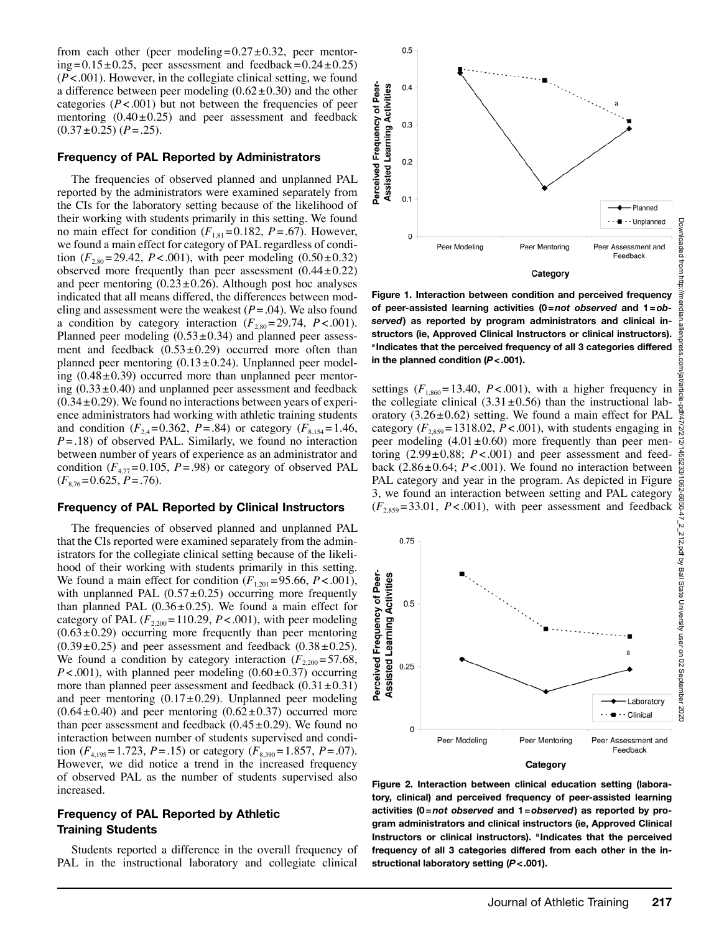from each other (peer modeling= $0.27 \pm 0.32$ , peer mentoring=0.15 $\pm$ 0.25, peer assessment and feedback=0.24 $\pm$ 0.25) (*P*<.001). However, in the collegiate clinical setting, we found a difference between peer modeling  $(0.62 \pm 0.30)$  and the other categories  $(P < .001)$  but not between the frequencies of peer mentoring  $(0.40 \pm 0.25)$  and peer assessment and feedback  $(0.37 \pm 0.25)$   $(P = .25)$ .

#### **Frequency of PAL Reported by Administrators**

The frequencies of observed planned and unplanned PAL reported by the administrators were examined separately from the CIs for the laboratory setting because of the likelihood of their working with students primarily in this setting. We found no main effect for condition  $(F_{1,81}=0.182, P=.67)$ . However, we found a main effect for category of PAL regardless of condition  $(F_{2,80} = 29.42, P < .001)$ , with peer modeling  $(0.50 \pm 0.32)$ observed more frequently than peer assessment  $(0.44 \pm 0.22)$ and peer mentoring  $(0.23 \pm 0.26)$ . Although post hoc analyses indicated that all means differed, the differences between modeling and assessment were the weakest  $(P = .04)$ . We also found a condition by category interaction  $(F_{2,80}=29.74, P<.001)$ . Planned peer modeling  $(0.53 \pm 0.34)$  and planned peer assessment and feedback  $(0.53\pm0.29)$  occurred more often than planned peer mentoring  $(0.13 \pm 0.24)$ . Unplanned peer modeling  $(0.48 \pm 0.39)$  occurred more than unplanned peer mentoring  $(0.33 \pm 0.40)$  and unplanned peer assessment and feedback  $(0.34 \pm 0.29)$ . We found no interactions between years of experience administrators had working with athletic training students and condition ( $F_{2,4}=0.362$ ,  $P=.84$ ) or category ( $F_{8,154}=1.46$ , *P*=.18) of observed PAL. Similarly, we found no interaction between number of years of experience as an administrator and condition  $(F_{4,77}=0.105, P=.98)$  or category of observed PAL  $(F_{8,76}=0.625, P=.76).$ 

#### **Frequency of PAL Reported by Clinical Instructors**

The frequencies of observed planned and unplanned PAL that the CIs reported were examined separately from the administrators for the collegiate clinical setting because of the likelihood of their working with students primarily in this setting. We found a main effect for condition  $(F_{1,201}=95.66, P<.001)$ , with unplanned PAL  $(0.57 \pm 0.25)$  occurring more frequently than planned PAL  $(0.36 \pm 0.25)$ . We found a main effect for category of PAL  $(F_{2,200} = 110.29, P < .001)$ , with peer modeling  $(0.63\pm0.29)$  occurring more frequently than peer mentoring  $(0.39\pm0.25)$  and peer assessment and feedback  $(0.38\pm0.25)$ . We found a condition by category interaction  $(F_{2,200} = 57.68)$ ,  $P < .001$ ), with planned peer modeling  $(0.60 \pm 0.37)$  occurring more than planned peer assessment and feedback  $(0.31 \pm 0.31)$ and peer mentoring  $(0.17 \pm 0.29)$ . Unplanned peer modeling  $(0.64\pm0.40)$  and peer mentoring  $(0.62\pm0.37)$  occurred more than peer assessment and feedback  $(0.45 \pm 0.29)$ . We found no interaction between number of students supervised and condition ( $F_{4,195}$ =1.723, *P*=.15) or category ( $F_{8,390}$ =1.857, *P*=.07). However, we did notice a trend in the increased frequency of observed PAL as the number of students supervised also increased.

# **Frequency of PAL Reported by Athletic Training Students**

Students reported a difference in the overall frequency of PAL in the instructional laboratory and collegiate clinical



**Figure 1. Interaction between condition and perceived frequency of peer-assisted learning activities (0=***not observed* **and 1=***observed***) as reported by program administrators and clinical instructors (ie, Approved Clinical Instructors or clinical instructors). <sup>a</sup> Indicates that the perceived frequency of all 3 categories differed in the planned condition (***P***<.001).**

settings  $(F_{1,860} = 13.40, P < .001)$ , with a higher frequency in the collegiate clinical  $(3.31 \pm 0.56)$  than the instructional laboratory  $(3.26 \pm 0.62)$  setting. We found a main effect for PAL category  $(F_{2,859} = 1318.02, P < .001)$ , with students engaging in peer modeling  $(4.01 \pm 0.60)$  more frequently than peer mentoring  $(2.99 \pm 0.88; P < .001)$  and peer assessment and feedback  $(2.86 \pm 0.64; P < .001)$ . We found no interaction between PAL category and year in the program. As depicted in Figure 3, we found an interaction between setting and PAL category  $(F_{2,859}=33.01, P<.001)$ , with peer assessment and feedback



**Figure 2. Interaction between clinical education setting (laboratory, clinical) and perceived frequency of peer-assisted learning activities (0=***not observed* **and 1=***observed***) as reported by program administrators and clinical instructors (ie, Approved Clinical Instructors or clinical instructors). a Indicates that the perceived frequency of all 3 categories differed from each other in the instructional laboratory setting (***P***<.001).**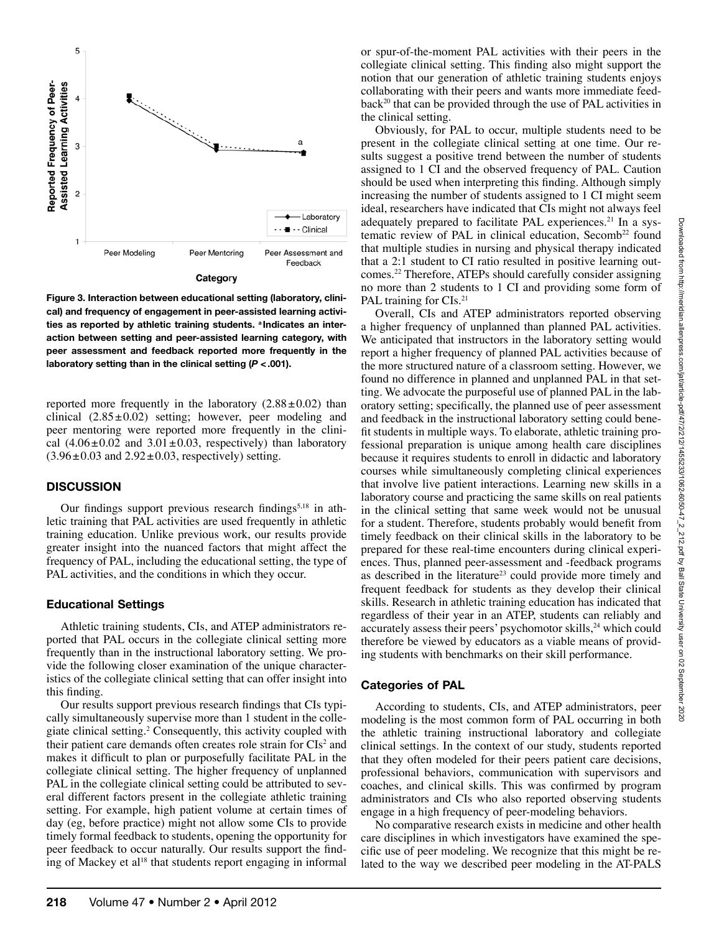

**Figure 3. Interaction between educational setting (laboratory, clinical) and frequency of engagement in peer-assisted learning activities as reported by athletic training students. a Indicates an interaction between setting and peer-assisted learning category, with peer assessment and feedback reported more frequently in the laboratory setting than in the clinical setting (***P <***.001).**

reported more frequently in the laboratory  $(2.88 \pm 0.02)$  than clinical  $(2.85 \pm 0.02)$  setting; however, peer modeling and peer mentoring were reported more frequently in the clinical  $(4.06\pm0.02$  and  $3.01\pm0.03$ , respectively) than laboratory  $(3.96\pm0.03$  and  $2.92\pm0.03$ , respectively) setting.

#### **DISCUSSION**

Our findings support previous research findings<sup>5,18</sup> in athletic training that PAL activities are used frequently in athletic training education. Unlike previous work, our results provide greater insight into the nuanced factors that might affect the frequency of PAL, including the educational setting, the type of PAL activities, and the conditions in which they occur.

#### **Educational Settings**

Athletic training students, CIs, and ATEP administrators reported that PAL occurs in the collegiate clinical setting more frequently than in the instructional laboratory setting. We provide the following closer examination of the unique characteristics of the collegiate clinical setting that can offer insight into this finding.

Our results support previous research findings that CIs typically simultaneously supervise more than 1 student in the collegiate clinical setting.2 Consequently, this activity coupled with their patient care demands often creates role strain for  $\text{CIs}^2$  and makes it difficult to plan or purposefully facilitate PAL in the collegiate clinical setting. The higher frequency of unplanned PAL in the collegiate clinical setting could be attributed to several different factors present in the collegiate athletic training setting. For example, high patient volume at certain times of day (eg, before practice) might not allow some CIs to provide timely formal feedback to students, opening the opportunity for peer feedback to occur naturally. Our results support the finding of Mackey et al<sup>18</sup> that students report engaging in informal

or spur-of-the-moment PAL activities with their peers in the collegiate clinical setting. This finding also might support the notion that our generation of athletic training students enjoys collaborating with their peers and wants more immediate feed $back<sup>20</sup>$  that can be provided through the use of PAL activities in the clinical setting.

Obviously, for PAL to occur, multiple students need to be present in the collegiate clinical setting at one time. Our results suggest a positive trend between the number of students assigned to 1 CI and the observed frequency of PAL. Caution should be used when interpreting this finding. Although simply increasing the number of students assigned to 1 CI might seem ideal, researchers have indicated that CIs might not always feel adequately prepared to facilitate PAL experiences.<sup>21</sup> In a systematic review of PAL in clinical education, Secomb<sup>22</sup> found that multiple studies in nursing and physical therapy indicated that a 2:1 student to CI ratio resulted in positive learning outcomes.22 Therefore, ATEPs should carefully consider assigning no more than 2 students to 1 CI and providing some form of PAL training for CIs.<sup>21</sup>

Overall, CIs and ATEP administrators reported observing a higher frequency of unplanned than planned PAL activities. We anticipated that instructors in the laboratory setting would report a higher frequency of planned PAL activities because of the more structured nature of a classroom setting. However, we found no difference in planned and unplanned PAL in that setting. We advocate the purposeful use of planned PAL in the laboratory setting; specifically, the planned use of peer assessment and feedback in the instructional laboratory setting could benefit students in multiple ways. To elaborate, athletic training professional preparation is unique among health care disciplines because it requires students to enroll in didactic and laboratory courses while simultaneously completing clinical experiences that involve live patient interactions. Learning new skills in a laboratory course and practicing the same skills on real patients in the clinical setting that same week would not be unusual for a student. Therefore, students probably would benefit from timely feedback on their clinical skills in the laboratory to be prepared for these real-time encounters during clinical experiences. Thus, planned peer-assessment and -feedback programs as described in the literature<sup>23</sup> could provide more timely and frequent feedback for students as they develop their clinical skills. Research in athletic training education has indicated that regardless of their year in an ATEP, students can reliably and accurately assess their peers' psychomotor skills,<sup>24</sup> which could therefore be viewed by educators as a viable means of providing students with benchmarks on their skill performance.

#### **Categories of PAL**

According to students, CIs, and ATEP administrators, peer modeling is the most common form of PAL occurring in both the athletic training instructional laboratory and collegiate clinical settings. In the context of our study, students reported that they often modeled for their peers patient care decisions, professional behaviors, communication with supervisors and coaches, and clinical skills. This was confirmed by program administrators and CIs who also reported observing students engage in a high frequency of peer-modeling behaviors.

No comparative research exists in medicine and other health care disciplines in which investigators have examined the specific use of peer modeling. We recognize that this might be related to the way we described peer modeling in the AT-PALS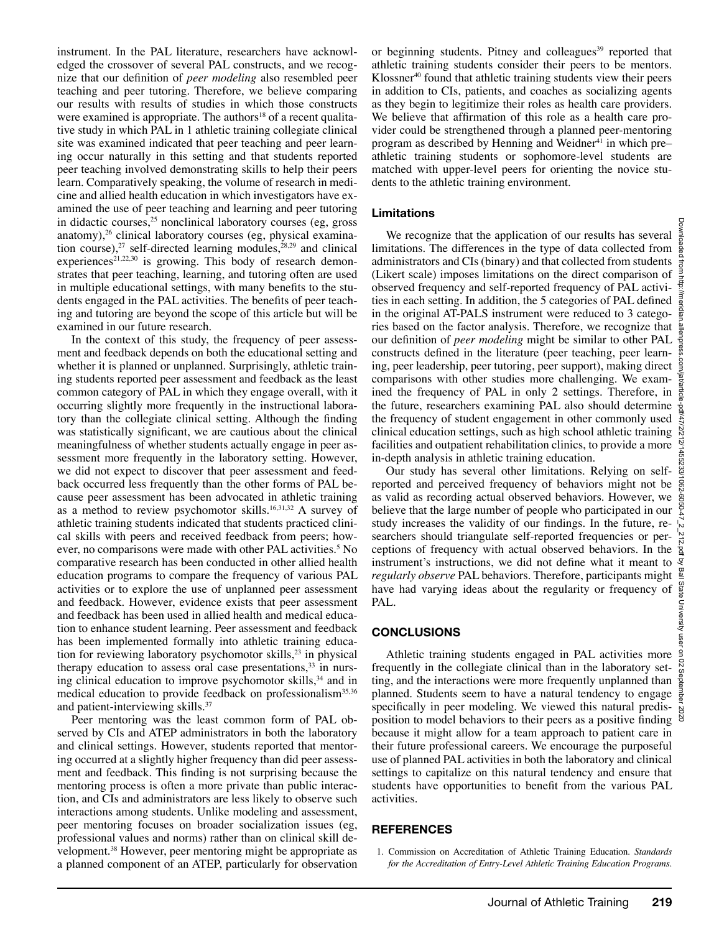instrument. In the PAL literature, researchers have acknowledged the crossover of several PAL constructs, and we recognize that our definition of *peer modeling* also resembled peer teaching and peer tutoring. Therefore, we believe comparing our results with results of studies in which those constructs were examined is appropriate. The authors<sup>18</sup> of a recent qualitative study in which PAL in 1 athletic training collegiate clinical site was examined indicated that peer teaching and peer learning occur naturally in this setting and that students reported peer teaching involved demonstrating skills to help their peers learn. Comparatively speaking, the volume of research in medicine and allied health education in which investigators have examined the use of peer teaching and learning and peer tutoring in didactic courses,<sup>25</sup> nonclinical laboratory courses (eg, gross anatomy),<sup>26</sup> clinical laboratory courses (eg, physical examination course),<sup>27</sup> self-directed learning modules,<sup>28,29</sup> and clinical experiences<sup>21,22,30</sup> is growing. This body of research demonstrates that peer teaching, learning, and tutoring often are used in multiple educational settings, with many benefits to the students engaged in the PAL activities. The benefits of peer teaching and tutoring are beyond the scope of this article but will be examined in our future research.

In the context of this study, the frequency of peer assessment and feedback depends on both the educational setting and whether it is planned or unplanned. Surprisingly, athletic training students reported peer assessment and feedback as the least common category of PAL in which they engage overall, with it occurring slightly more frequently in the instructional laboratory than the collegiate clinical setting. Although the finding was statistically significant, we are cautious about the clinical meaningfulness of whether students actually engage in peer assessment more frequently in the laboratory setting. However, we did not expect to discover that peer assessment and feedback occurred less frequently than the other forms of PAL because peer assessment has been advocated in athletic training as a method to review psychomotor skills.<sup>16,31,32</sup> A survey of athletic training students indicated that students practiced clinical skills with peers and received feedback from peers; however, no comparisons were made with other PAL activities.<sup>5</sup> No comparative research has been conducted in other allied health education programs to compare the frequency of various PAL activities or to explore the use of unplanned peer assessment and feedback. However, evidence exists that peer assessment and feedback has been used in allied health and medical education to enhance student learning. Peer assessment and feedback has been implemented formally into athletic training education for reviewing laboratory psychomotor skills,<sup>23</sup> in physical therapy education to assess oral case presentations,  $33$  in nursing clinical education to improve psychomotor skills,<sup>34</sup> and in medical education to provide feedback on professionalism<sup>35,36</sup> and patient-interviewing skills.<sup>37</sup>

Peer mentoring was the least common form of PAL observed by CIs and ATEP administrators in both the laboratory and clinical settings. However, students reported that mentoring occurred at a slightly higher frequency than did peer assessment and feedback. This finding is not surprising because the mentoring process is often a more private than public interaction, and CIs and administrators are less likely to observe such interactions among students. Unlike modeling and assessment, peer mentoring focuses on broader socialization issues (eg, professional values and norms) rather than on clinical skill development.38 However, peer mentoring might be appropriate as a planned component of an ATEP, particularly for observation

or beginning students. Pitney and colleagues<sup>39</sup> reported that athletic training students consider their peers to be mentors. Klossner<sup>40</sup> found that athletic training students view their peers in addition to CIs, patients, and coaches as socializing agents as they begin to legitimize their roles as health care providers. We believe that affirmation of this role as a health care provider could be strengthened through a planned peer-mentoring program as described by Henning and Weidner<sup>41</sup> in which pre– athletic training students or sophomore-level students are matched with upper-level peers for orienting the novice students to the athletic training environment.

#### **Limitations**

We recognize that the application of our results has several limitations. The differences in the type of data collected from administrators and CIs (binary) and that collected from students (Likert scale) imposes limitations on the direct comparison of observed frequency and self-reported frequency of PAL activities in each setting. In addition, the 5 categories of PAL defined in the original AT-PALS instrument were reduced to 3 categories based on the factor analysis. Therefore, we recognize that  $\frac{a}{\overline{a}}$ our definition of *peer modeling* might be similar to other PAL constructs defined in the literature (peer teaching, peer learning, peer leadership, peer tutoring, peer support), making direct comparisons with other studies more challenging. We examined the frequency of PAL in only 2 settings. Therefore, in  $\frac{3}{6}$  the future, researchers examining PAL also should determine  $\frac{9}{6}$  the frequency of student engagement in other commonly used the future, researchers examining PAL also should determine the frequency of student engagement in other commonly used clinical education settings, such as high school athletic training facilities and outpatient rehabilitation clinics, to provide a more in-depth analysis in athletic training education.

Our study has several other limitations. Relying on selfreported and perceived frequency of behaviors might not be as valid as recording actual observed behaviors. However, we believe that the large number of people who participated in our study increases the validity of our findings. In the future, researchers should triangulate self-reported frequencies or perceptions of frequency with actual observed behaviors. In the instrument's instructions, we did not define what it meant to *regularly observe* PAL behaviors. Therefore, participants might have had varying ideas about the regularity or frequency of  $\frac{\omega}{\pi}$ PAL.

# **CONCLUSIONS**

Athletic training students engaged in PAL activities more frequently in the collegiate clinical than in the laboratory setting, and the interactions were more frequently unplanned than planned. Students seem to have a natural tendency to engage specifically in peer modeling. We viewed this natural predisposition to model behaviors to their peers as a positive finding because it might allow for a team approach to patient care in their future professional careers. We encourage the purposeful use of planned PAL activities in both the laboratory and clinical settings to capitalize on this natural tendency and ensure that students have opportunities to benefit from the various PAL activities.

#### **REFERENCES**

1. Commission on Accreditation of Athletic Training Education. *Standards for the Accreditation of Entry-Level Athletic Training Education Programs*.